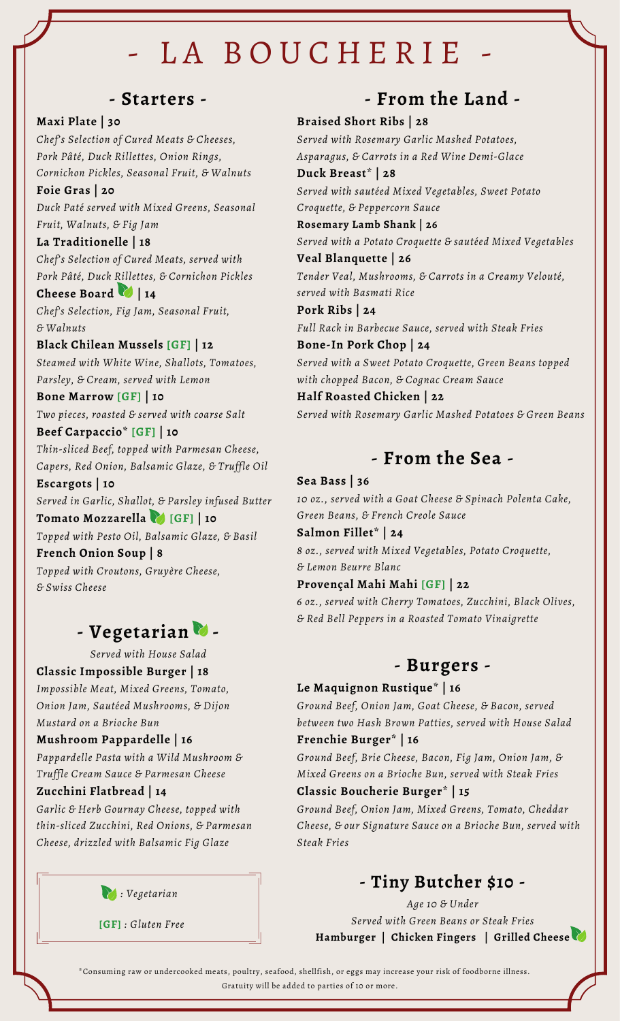# LA BOUCHERIE

### **- Starters -**

#### **Maxi Plate | 30**

*Chef's Selection of Cured Meats & Cheeses, Pork Pâté, Duck Rillettes, Onion Rings, Cornichon Pickles, Seasonal Fruit, & Walnuts*

**Foie Gras | 20** *Duck Paté served with Mixed Greens, Seasonal Fruit, Walnuts, & Fig Jam*

#### **La Traditionelle | 18**

*Chef's Selection of Cured Meats, served with Pork Pâté, Duck Rillettes, & Cornichon Pickles* **Cheese Board | 14**

*Chef's Selection, Fig Jam, Seasonal Fruit, & Walnuts*

#### **Black Chilean Mussels [GF] | 12** *Steamed with White Wine, Shallots, Tomatoes,*

*Parsley, & Cream, served with Lemon*

**Bone Marrow [GF] | 10** *Two pieces, roasted & served with coarse Salt*

#### **Beef Carpaccio\* [GF] | 10**

*Thin-sliced Beef, topped with Parmesan Cheese, Capers, Red Onion, Balsamic Glaze, & Truffle Oil*

**Escargots | 10** *Served in Garlic, Shallot, & Parsley infused Butter* **Tomato Mozzarella [GF] | 10**

*Topped with Pesto Oil, Balsamic Glaze, & Basil* **French Onion Soup | 8**

*Topped with Croutons, Gruyère Cheese, & Swiss Cheese*

## **- Vegetarian -**

*Served with House Salad*

**Classic Impossible Burger | 18**

*Impossible Meat, Mixed Greens, Tomato, Onion Jam, Sautéed Mushrooms, & Dijon Mustard on a Brioche Bun*

#### **Mushroom Pappardelle | 16**

*Pappardelle Pasta with a Wild Mushroom & Truffle Cream Sauce & Parmesan Cheese*

#### **Zucchini Flatbread | 14**

*Garlic & Herb Gournay Cheese, topped with thin-sliced Zucchini, Red Onions, & Parmesan Cheese, drizzled with Balsamic Fig Glaze*



**[GF]** *: Gluten Free*

## **- From the Land -**

#### **Braised Short Ribs | 28**

*Served with Rosemary Garlic Mashed Potatoes, Asparagus, & Carrots in a Red Wine Demi-Glace*

**Duck Breast\* | 28** *Served with sautéed Mixed Vegetables, Sweet Potato Croquette, & Peppercorn Sauce*

#### **Rosemary Lamb Shank | 26**

*Served with a Potato Croquette & sautéed Mixed Vegetables* **Veal Blanquette | 26**

*Tender Veal, Mushrooms, & Carrots in a Creamy Velouté, served with Basmati Rice*

**Pork Ribs | 24** *Full Rack in Barbecue Sauce, served with Steak Fries*

**Bone-In Pork Chop | 24** *Served with a Sweet Potato Croquette, Green Beans topped with chopped Bacon, & Cognac Cream Sauce*

#### **Half Roasted Chicken | 22** *Served with Rosemary Garlic Mashed Potatoes & Green Beans*

## **- From the Sea -**

#### **Sea Bass | 36**

*10 oz., served with a Goat Cheese & Spinach Polenta Cake, Green Beans, & French Creole Sauce*

**Salmon Fillet\* | 24**

*8 oz., served with Mixed Vegetables, Potato Croquette, & Lemon Beurre Blanc*

#### **Provençal Mahi Mahi [GF] | 22**

*6 oz., served with Cherry Tomatoes, Zucchini, Black Olives, & Red Bell Peppers in a Roasted Tomato Vinaigrette*

### **- Burgers -**

#### **Le Maquignon Rustique\* | 16**

*Ground Beef, Onion Jam, Goat Cheese, & Bacon, served between two Hash Brown Patties, served with House Salad*

#### **Frenchie Burger\* | 16**

*Ground Beef, Brie Cheese, Bacon, Fig Jam, Onion Jam, & Mixed Greens on a Brioche Bun, served with Steak Fries*

#### **Classic Boucherie Burger\* | 15**

*Ground Beef, Onion Jam, Mixed Greens, Tomato, Cheddar Cheese, & our Signature Sauce on a Brioche Bun, served with Steak Fries*

## **- Tiny Butcher \$10 -**

*Age 10 & Under Served with Green Beans or Steak Fries* **Hamburger | Chicken Fingers | Grilled Cheese**

\*Consuming raw or undercooked meats, poultry, seafood, shellfish, or eggs may increase your risk of foodborne illness. Gratuity will be added to parties of 10 or more.